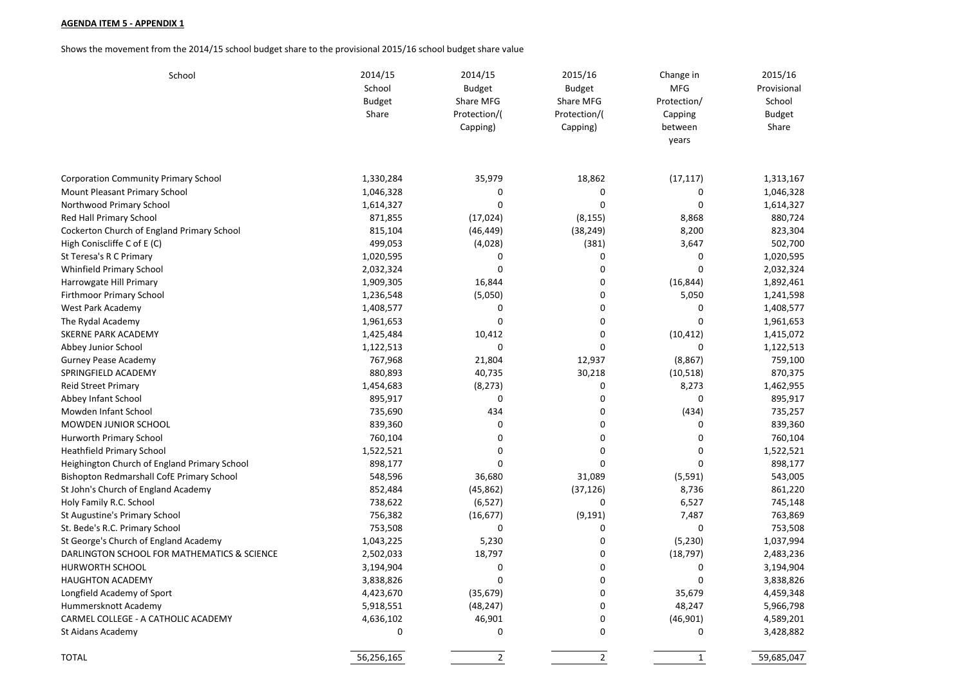## **AGENDA ITEM 5 - APPENDIX 1**

Shows the movement from the 2014/15 school budget share to the provisional 2015/16 school budget share value

| School                                       | 2014/15<br>School<br><b>Budget</b><br>Share | 2014/15<br><b>Budget</b><br>Share MFG<br>Protection/(<br>Capping) | 2015/16<br><b>Budget</b><br>Share MFG<br>Protection/(<br>Capping) | Change in<br><b>MFG</b><br>Protection/<br>Capping<br>between<br>years | 2015/16<br>Provisional<br>School<br><b>Budget</b><br>Share |
|----------------------------------------------|---------------------------------------------|-------------------------------------------------------------------|-------------------------------------------------------------------|-----------------------------------------------------------------------|------------------------------------------------------------|
| <b>Corporation Community Primary School</b>  | 1,330,284                                   | 35,979                                                            | 18,862                                                            | (17, 117)                                                             | 1,313,167                                                  |
| Mount Pleasant Primary School                | 1,046,328                                   | 0                                                                 | 0                                                                 | 0                                                                     | 1,046,328                                                  |
| Northwood Primary School                     | 1,614,327                                   | $\mathbf 0$                                                       | $\mathbf 0$                                                       | 0                                                                     | 1,614,327                                                  |
| Red Hall Primary School                      | 871,855                                     | (17, 024)                                                         | (8, 155)                                                          | 8,868                                                                 | 880,724                                                    |
| Cockerton Church of England Primary School   | 815,104                                     | (46, 449)                                                         | (38, 249)                                                         | 8,200                                                                 | 823,304                                                    |
| High Coniscliffe C of E (C)                  | 499,053                                     | (4,028)                                                           | (381)                                                             | 3,647                                                                 | 502,700                                                    |
| St Teresa's R C Primary                      | 1,020,595                                   | $\mathbf 0$                                                       | $\mathbf 0$                                                       | 0                                                                     | 1,020,595                                                  |
| Whinfield Primary School                     | 2,032,324                                   | $\mathbf 0$                                                       | 0                                                                 | 0                                                                     | 2,032,324                                                  |
| Harrowgate Hill Primary                      | 1,909,305                                   | 16,844                                                            | $\mathbf 0$                                                       | (16, 844)                                                             | 1,892,461                                                  |
| Firthmoor Primary School                     | 1,236,548                                   | (5,050)                                                           | 0                                                                 | 5,050                                                                 | 1,241,598                                                  |
| West Park Academy                            | 1,408,577                                   | 0                                                                 | $\mathbf 0$                                                       | 0                                                                     | 1,408,577                                                  |
| The Rydal Academy                            | 1,961,653                                   | $\mathbf 0$                                                       | 0                                                                 | 0                                                                     | 1,961,653                                                  |
| <b>SKERNE PARK ACADEMY</b>                   | 1,425,484                                   | 10,412                                                            | 0                                                                 | (10, 412)                                                             | 1,415,072                                                  |
| Abbey Junior School                          | 1,122,513                                   | $\mathbf 0$                                                       | $\mathbf 0$                                                       | 0                                                                     | 1,122,513                                                  |
| Gurney Pease Academy                         | 767,968                                     | 21,804                                                            | 12,937                                                            | (8,867)                                                               | 759,100                                                    |
| SPRINGFIELD ACADEMY                          | 880,893                                     | 40,735                                                            | 30,218                                                            | (10, 518)                                                             | 870,375                                                    |
| <b>Reid Street Primary</b>                   | 1,454,683                                   | (8, 273)                                                          | 0                                                                 | 8,273                                                                 | 1,462,955                                                  |
| Abbey Infant School                          | 895,917                                     | 0                                                                 | 0                                                                 | 0                                                                     | 895,917                                                    |
| Mowden Infant School                         | 735,690                                     | 434                                                               | 0                                                                 | (434)                                                                 | 735,257                                                    |
| MOWDEN JUNIOR SCHOOL                         | 839,360                                     | $\mathbf 0$                                                       | 0                                                                 | 0                                                                     | 839,360                                                    |
| Hurworth Primary School                      | 760,104                                     | $\mathbf 0$                                                       | 0                                                                 | 0                                                                     | 760,104                                                    |
| <b>Heathfield Primary School</b>             | 1,522,521                                   | $\mathbf 0$                                                       | $\mathbf 0$                                                       | 0                                                                     | 1,522,521                                                  |
| Heighington Church of England Primary School | 898,177                                     | $\Omega$                                                          | $\mathbf 0$                                                       | 0                                                                     | 898,177                                                    |
| Bishopton Redmarshall CofE Primary School    | 548,596                                     | 36,680                                                            | 31,089                                                            | (5, 591)                                                              | 543,005                                                    |
| St John's Church of England Academy          | 852,484                                     | (45, 862)                                                         | (37, 126)                                                         | 8,736                                                                 | 861,220                                                    |
| Holy Family R.C. School                      | 738,622                                     | (6, 527)                                                          | 0                                                                 | 6,527                                                                 | 745,148                                                    |
| St Augustine's Primary School                | 756,382                                     | (16, 677)                                                         | (9, 191)                                                          | 7,487                                                                 | 763,869                                                    |
| St. Bede's R.C. Primary School               | 753,508                                     | 0                                                                 | 0                                                                 | 0                                                                     | 753,508                                                    |
| St George's Church of England Academy        | 1,043,225                                   | 5,230                                                             | 0                                                                 | (5, 230)                                                              | 1,037,994                                                  |
| DARLINGTON SCHOOL FOR MATHEMATICS & SCIENCE  | 2,502,033                                   | 18,797                                                            | 0                                                                 | (18, 797)                                                             | 2,483,236                                                  |
| <b>HURWORTH SCHOOL</b>                       | 3,194,904                                   | $\mathbf 0$                                                       | 0                                                                 | 0                                                                     | 3,194,904                                                  |
| <b>HAUGHTON ACADEMY</b>                      | 3,838,826                                   | $\mathbf 0$                                                       | 0                                                                 | 0                                                                     | 3,838,826                                                  |
| Longfield Academy of Sport                   | 4,423,670                                   | (35, 679)                                                         | 0                                                                 | 35,679                                                                | 4,459,348                                                  |
| Hummersknott Academy                         | 5,918,551                                   | (48, 247)                                                         | 0                                                                 | 48,247                                                                | 5,966,798                                                  |
| CARMEL COLLEGE - A CATHOLIC ACADEMY          | 4,636,102                                   | 46,901                                                            | $\pmb{0}$                                                         | (46,901)                                                              | 4,589,201                                                  |
| St Aidans Academy                            | 0                                           | 0                                                                 | 0                                                                 | 0                                                                     | 3,428,882                                                  |
| <b>TOTAL</b>                                 | 56,256,165                                  | $\mathbf{2}$                                                      | $\overline{2}$                                                    | $\mathbf{1}$                                                          | 59,685,047                                                 |